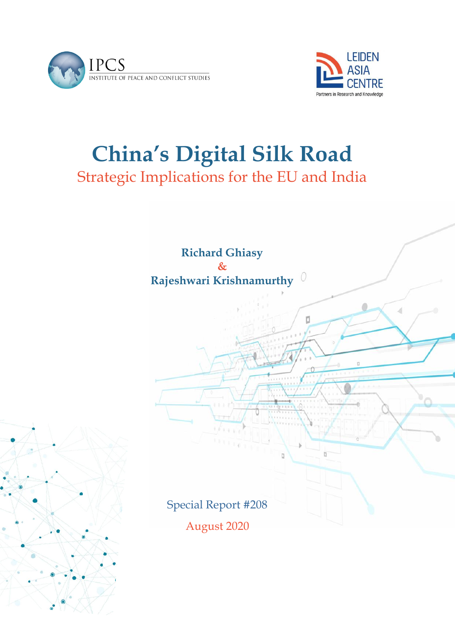



# **China's Digital Silk Road**

Strategic Implications for the EU and India



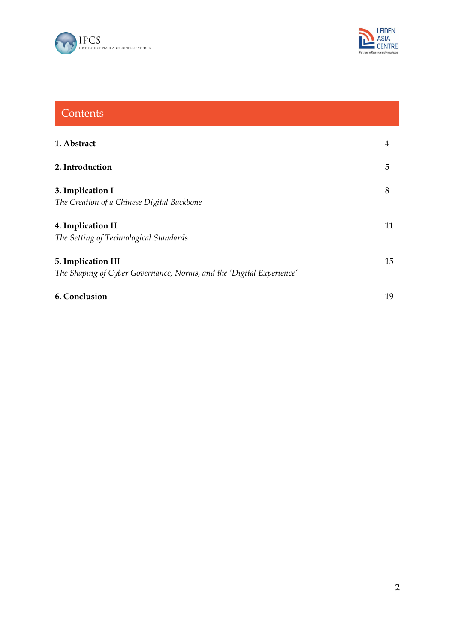



## **Contents**

| 1. Abstract                                                                                | 4  |
|--------------------------------------------------------------------------------------------|----|
| 2. Introduction                                                                            | 5  |
| 3. Implication I<br>The Creation of a Chinese Digital Backbone                             | 8  |
| 4. Implication II<br>The Setting of Technological Standards                                | 11 |
| 5. Implication III<br>The Shaping of Cyber Governance, Norms, and the 'Digital Experience' | 15 |
| 6. Conclusion                                                                              | 19 |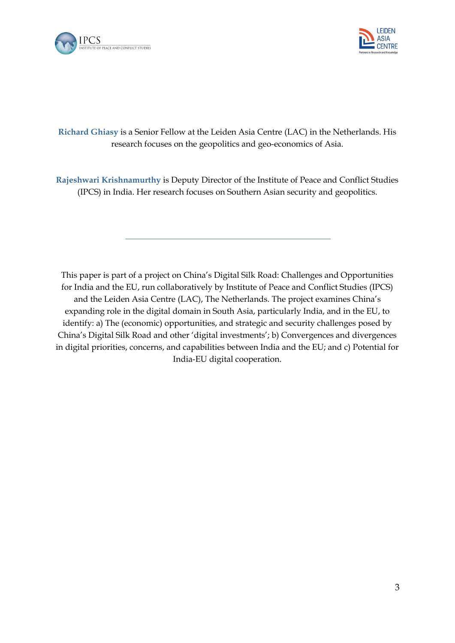



#### **Richard Ghiasy** is a Senior Fellow at the Leiden Asia Centre (LAC) in the Netherlands. His research focuses on the geopolitics and geo-economics of Asia.

**Rajeshwari Krishnamurthy** is Deputy Director of the Institute of Peace and Conflict Studies (IPCS) in India. Her research focuses on Southern Asian security and geopolitics.

This paper is part of a project on China's Digital Silk Road: Challenges and Opportunities for India and the EU, run collaboratively by Institute of Peace and Conflict Studies (IPCS) and the Leiden Asia Centre (LAC), The Netherlands. The project examines China's expanding role in the digital domain in South Asia, particularly India, and in the EU, to identify: a) The (economic) opportunities, and strategic and security challenges posed by China's Digital Silk Road and other 'digital investments'; b) Convergences and divergences in digital priorities, concerns, and capabilities between India and the EU; and c) Potential for India-EU digital cooperation.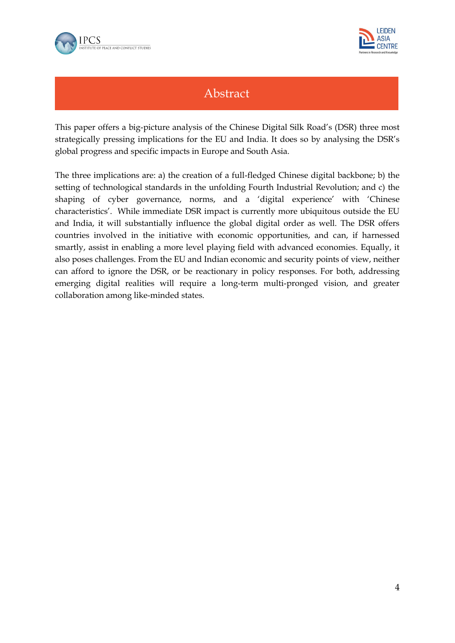



## Abstract

This paper offers a big-picture analysis of the Chinese Digital Silk Road's (DSR) three most strategically pressing implications for the EU and India. It does so by analysing the DSR's global progress and specific impacts in Europe and South Asia.

The three implications are: a) the creation of a full-fledged Chinese digital backbone; b) the setting of technological standards in the unfolding Fourth Industrial Revolution; and c) the shaping of cyber governance, norms, and a 'digital experience' with 'Chinese characteristics'. While immediate DSR impact is currently more ubiquitous outside the EU and India, it will substantially influence the global digital order as well. The DSR offers countries involved in the initiative with economic opportunities, and can, if harnessed smartly, assist in enabling a more level playing field with advanced economies. Equally, it also poses challenges. From the EU and Indian economic and security points of view, neither can afford to ignore the DSR, or be reactionary in policy responses. For both, addressing emerging digital realities will require a long-term multi-pronged vision, and greater collaboration among like-minded states.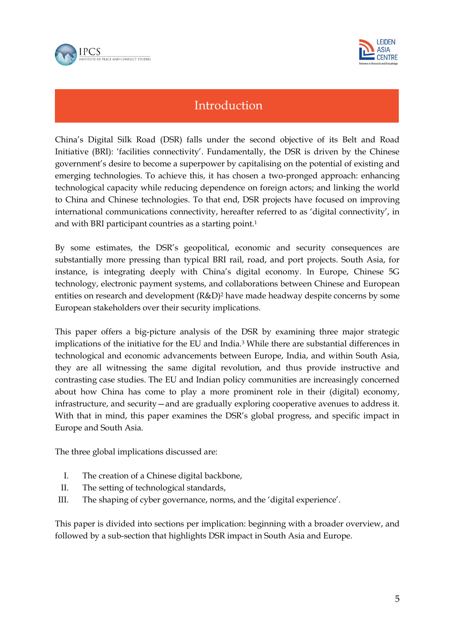



## Introduction

China's Digital Silk Road (DSR) falls under the second objective of its Belt and Road Initiative (BRI): 'facilities connectivity'. Fundamentally, the DSR is driven by the Chinese government's desire to become a superpower by capitalising on the potential of existing and emerging technologies. To achieve this, it has chosen a two-pronged approach: enhancing technological capacity while reducing dependence on foreign actors; and linking the world to China and Chinese technologies. To that end, DSR projects have focused on improving international communications connectivity, hereafter referred to as 'digital connectivity', in and with BRI participant countries as a starting point.<sup>1</sup>

By some estimates, the DSR's geopolitical, economic and security consequences are substantially more pressing than typical BRI rail, road, and port projects. South Asia, for instance, is integrating deeply with China's digital economy. In Europe, Chinese 5G technology, electronic payment systems, and collaborations between Chinese and European entities on research and development (R&D)<sup>2</sup> have made headway despite concerns by some European stakeholders over their security implications.

This paper offers a big-picture analysis of the DSR by examining three major strategic implications of the initiative for the EU and India.<sup>3</sup> While there are substantial differences in technological and economic advancements between Europe, India, and within South Asia, they are all witnessing the same digital revolution, and thus provide instructive and contrasting case studies. The EU and Indian policy communities are increasingly concerned about how China has come to play a more prominent role in their (digital) economy, infrastructure, and security—and are gradually exploring cooperative avenues to address it. With that in mind, this paper examines the DSR's global progress, and specific impact in Europe and South Asia.

The three global implications discussed are:

- I. The creation of a Chinese digital backbone,
- II. The setting of technological standards,
- III. The shaping of cyber governance, norms, and the 'digital experience'.

This paper is divided into sections per implication: beginning with a broader overview, and followed by a sub-section that highlights DSR impact in South Asia and Europe.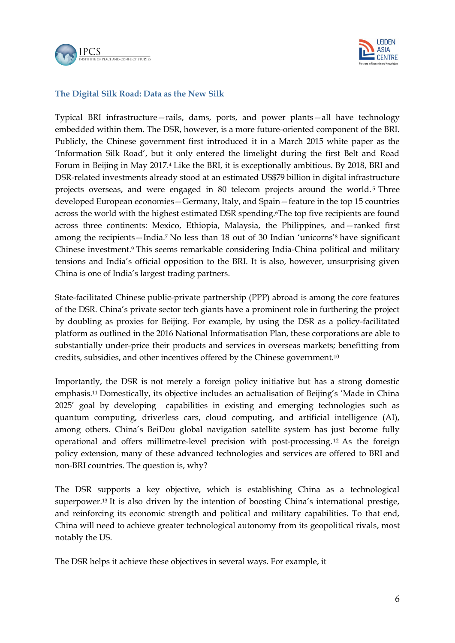



#### **The Digital Silk Road: Data as the New Silk**

Typical BRI infrastructure—rails, dams, ports, and power plants—all have technology embedded within them. The DSR, however, is a more future-oriented component of the BRI. Publicly, the Chinese government first introduced it in a March 2015 white paper as the 'Information Silk Road', but it only entered the limelight during the first Belt and Road Forum in Beijing in May 2017.<sup>4</sup> Like the BRI, it is exceptionally ambitious. By 2018, BRI and DSR-related investments already stood at an estimated US\$79 billion in digital infrastructure projects overseas, and were engaged in 80 telecom projects around the world.<sup>5</sup> Three developed European economies—Germany, Italy, and Spain—feature in the top 15 countries across the world with the highest estimated DSR spending.6The top five recipients are found across three continents: Mexico, Ethiopia, Malaysia, the Philippines, and—ranked first among the recipients—India.<sup>7</sup> No less than 18 out of 30 Indian 'unicorns'<sup>8</sup> have significant Chinese investment.<sup>9</sup> This seems remarkable considering India-China political and military tensions and India's official opposition to the BRI. It is also, however, unsurprising given China is one of India's largest trading partners.

State-facilitated Chinese public-private partnership (PPP) abroad is among the core features of the DSR. China's private sector tech giants have a prominent role in furthering the project by doubling as proxies for Beijing. For example, by using the DSR as a policy-facilitated platform as outlined in the 2016 National Informatisation Plan, these corporations are able to substantially under-price their products and services in overseas markets; benefitting from credits, subsidies, and other incentives offered by the Chinese government.<sup>10</sup>

Importantly, the DSR is not merely a foreign policy initiative but has a strong domestic emphasis.<sup>11</sup> Domestically, its objective includes an actualisation of Beijing's 'Made in China 2025' goal by developing capabilities in existing and emerging technologies such as quantum computing, driverless cars, cloud computing, and artificial intelligence (AI), among others. China's BeiDou global navigation satellite system has just become fully operational and offers millimetre-level precision with post-processing. <sup>12</sup> As the foreign policy extension, many of these advanced technologies and services are offered to BRI and non-BRI countries. The question is, why?

The DSR supports a key objective, which is establishing China as a technological superpower.<sup>13</sup> It is also driven by the intention of boosting China's international prestige, and reinforcing its economic strength and political and military capabilities. To that end, China will need to achieve greater technological autonomy from its geopolitical rivals, most notably the US.

The DSR helps it achieve these objectives in several ways. For example, it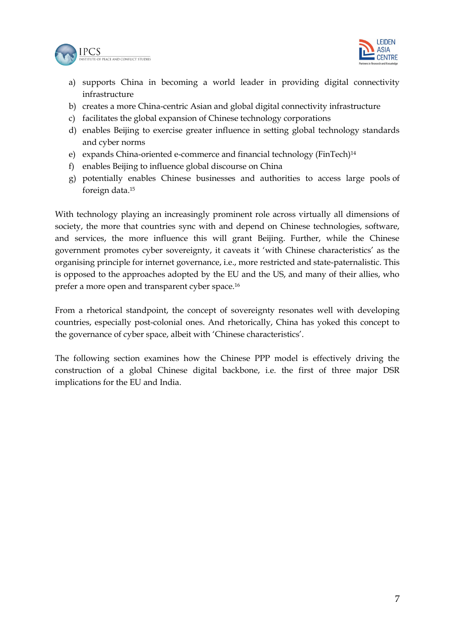



- a) supports China in becoming a world leader in providing digital connectivity infrastructure
- b) creates a more China-centric Asian and global digital connectivity infrastructure
- c) facilitates the global expansion of Chinese technology corporations
- d) enables Beijing to exercise greater influence in setting global technology standards and cyber norms
- e) expands China-oriented e-commerce and financial technology (FinTech)<sup>14</sup>
- f) enables Beijing to influence global discourse on China
- g) potentially enables Chinese businesses and authorities to access large pools of foreign data.<sup>15</sup>

With technology playing an increasingly prominent role across virtually all dimensions of society, the more that countries sync with and depend on Chinese technologies, software, and services, the more influence this will grant Beijing. Further, while the Chinese government promotes cyber sovereignty, it caveats it 'with Chinese characteristics' as the organising principle for internet governance, i.e., more restricted and state-paternalistic. This is opposed to the approaches adopted by the EU and the US, and many of their allies, who prefer a more open and transparent cyber space.<sup>16</sup>

From a rhetorical standpoint, the concept of sovereignty resonates well with developing countries, especially post-colonial ones. And rhetorically, China has yoked this concept to the governance of cyber space, albeit with 'Chinese characteristics'.

The following section examines how the Chinese PPP model is effectively driving the construction of a global Chinese digital backbone, i.e. the first of three major DSR implications for the EU and India.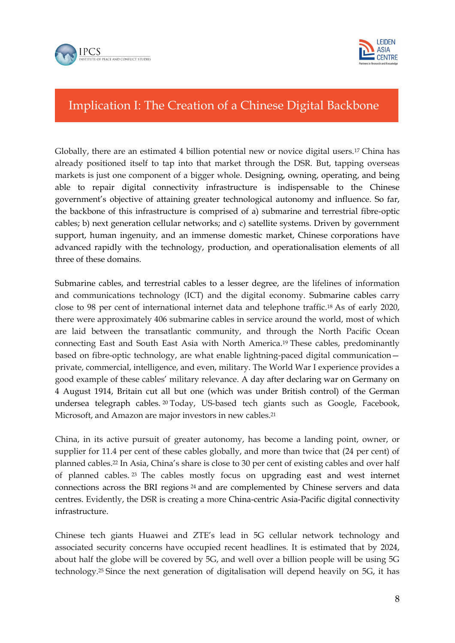



## Implication I: The Creation of a Chinese Digital Backbone

Globally, there are an estimated 4 billion potential new or novice digital users.<sup>17</sup> China has already positioned itself to tap into that market through the DSR. But, tapping overseas markets is just one component of a bigger whole. Designing, owning, operating, and being able to repair digital connectivity infrastructure is indispensable to the Chinese government's objective of attaining greater technological autonomy and influence. So far, the backbone of this infrastructure is comprised of a) submarine and terrestrial fibre-optic cables; b) next generation cellular networks; and c) satellite systems. Driven by government support, human ingenuity, and an immense domestic market, Chinese corporations have advanced rapidly with the technology, production, and operationalisation elements of all three of these domains.

Submarine cables, and terrestrial cables to a lesser degree, are the lifelines of information and communications technology (ICT) and the digital economy. Submarine cables carry close to 98 per cent of international internet data and telephone traffic.<sup>18</sup> As of early 2020, there were approximately 406 submarine cables in service around the world, most of which are laid between the transatlantic community, and through the North Pacific Ocean connecting East and South East Asia with North America.<sup>19</sup> These cables, predominantly based on fibre-optic technology, are what enable lightning-paced digital communication private, commercial, intelligence, and even, military. The World War I experience provides a good example of these cables' military relevance. A day after declaring war on Germany on 4 August 1914, Britain cut all but one (which was under British control) of the German undersea telegraph cables. <sup>20</sup> Today, US-based tech giants such as Google, Facebook, Microsoft, and Amazon are major investors in new cables.<sup>21</sup>

China, in its active pursuit of greater autonomy, has become a landing point, owner, or supplier for 11.4 per cent of these cables globally, and more than twice that (24 per cent) of planned cables.<sup>22</sup> In Asia, China's share is close to 30 per cent of existing cables and over half of planned cables. <sup>23</sup> The cables mostly focus on upgrading east and west internet connections across the BRI regions <sup>24</sup> and are complemented by Chinese servers and data centres. Evidently, the DSR is creating a more China-centric Asia-Pacific digital connectivity infrastructure.

Chinese tech giants Huawei and ZTE's lead in 5G cellular network technology and associated security concerns have occupied recent headlines. It is estimated that by 2024, about half the globe will be covered by 5G, and well over a billion people will be using 5G technology.<sup>25</sup> Since the next generation of digitalisation will depend heavily on 5G, it has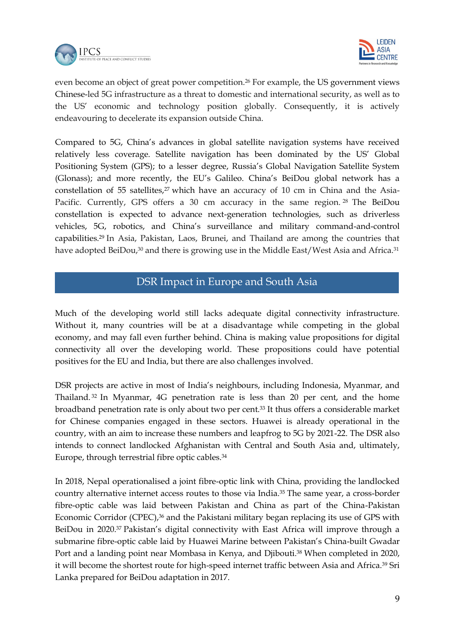



even become an object of great power competition.<sup>26</sup> For example, the US government views Chinese-led 5G infrastructure as a threat to domestic and international security, as well as to the US' economic and technology position globally. Consequently, it is actively endeavouring to decelerate its expansion outside China.

Compared to 5G, China's advances in global satellite navigation systems have received relatively less coverage. Satellite navigation has been dominated by the US' Global Positioning System (GPS); to a lesser degree, Russia's Global Navigation Satellite System (Glonass); and more recently, the EU's Galileo. China's BeiDou global network has a constellation of 55 satellites, $27$  which have an accuracy of 10 cm in China and the Asia-Pacific. Currently, GPS offers a 30 cm accuracy in the same region. <sup>28</sup> The BeiDou constellation is expected to advance next-generation technologies, such as driverless vehicles, 5G, robotics, and China's surveillance and military command-and-control capabilities.<sup>29</sup> In Asia, Pakistan, Laos, Brunei, and Thailand are among the countries that have adopted BeiDou,<sup>30</sup> and there is growing use in the Middle East/West Asia and Africa.<sup>31</sup>

#### DSR Impact in Europe and South Asia

Much of the developing world still lacks adequate digital connectivity infrastructure. Without it, many countries will be at a disadvantage while competing in the global economy, and may fall even further behind. China is making value propositions for digital connectivity all over the developing world. These propositions could have potential positives for the EU and India, but there are also challenges involved.

DSR projects are active in most of India's neighbours, including Indonesia, Myanmar, and Thailand. <sup>32</sup> In Myanmar, 4G penetration rate is less than 20 per cent, and the home broadband penetration rate is only about two per cent.<sup>33</sup> It thus offers a considerable market for Chinese companies engaged in these sectors. Huawei is already operational in the country, with an aim to increase these numbers and leapfrog to 5G by 2021-22. The DSR also intends to connect landlocked Afghanistan with Central and South Asia and, ultimately, Europe, through terrestrial fibre optic cables.<sup>34</sup>

In 2018, Nepal operationalised a joint fibre-optic link with China, providing the landlocked country alternative internet access routes to those via India.<sup>35</sup> The same year, a cross-border fibre-optic cable was laid between Pakistan and China as part of the China-Pakistan Economic Corridor (CPEC),<sup>36</sup> and the Pakistani military began replacing its use of GPS with BeiDou in 2020.<sup>37</sup> Pakistan's digital connectivity with East Africa will improve through a submarine fibre-optic cable laid by Huawei Marine between Pakistan's China-built Gwadar Port and a landing point near Mombasa in Kenya, and Djibouti. <sup>38</sup> When completed in 2020, it will become the shortest route for high-speed internet traffic between Asia and Africa.<sup>39</sup> Sri Lanka prepared for BeiDou adaptation in 2017.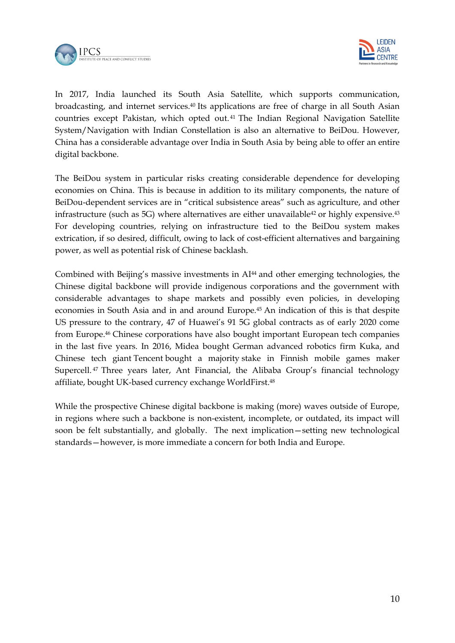



In 2017, India launched its South Asia Satellite, which supports communication, broadcasting, and internet services.<sup>40</sup> Its applications are free of charge in all South Asian countries except Pakistan, which opted out. <sup>41</sup> The Indian Regional Navigation Satellite System/Navigation with Indian Constellation is also an alternative to BeiDou. However, China has a considerable advantage over India in South Asia by being able to offer an entire digital backbone.

The BeiDou system in particular risks creating considerable dependence for developing economies on China. This is because in addition to its military components, the nature of BeiDou-dependent services are in "critical subsistence areas" such as agriculture, and other infrastructure (such as 5G) where alternatives are either unavailable<sup>42</sup> or highly expensive.<sup>43</sup> For developing countries, relying on infrastructure tied to the BeiDou system makes extrication, if so desired, difficult, owing to lack of cost-efficient alternatives and bargaining power, as well as potential risk of Chinese backlash.

Combined with Beijing's massive investments in AI<sup>44</sup> and other emerging technologies, the Chinese digital backbone will provide indigenous corporations and the government with considerable advantages to shape markets and possibly even policies, in developing economies in South Asia and in and around Europe.<sup>45</sup> An indication of this is that despite US pressure to the contrary, 47 of Huawei's 91 5G global contracts as of early 2020 come from Europe.<sup>46</sup> Chinese corporations have also bought important European tech companies in the last five years. In 2016, Midea bought German advanced robotics firm Kuka, and Chinese tech giant Tencent bought a majority stake in Finnish mobile games maker Supercell.<sup>47</sup> Three years later, Ant Financial, the Alibaba Group's financial technology affiliate, bought UK-based currency exchange WorldFirst.<sup>48</sup>

While the prospective Chinese digital backbone is making (more) waves outside of Europe, in regions where such a backbone is non-existent, incomplete, or outdated, its impact will soon be felt substantially, and globally. The next implication—setting new technological standards—however, is more immediate a concern for both India and Europe.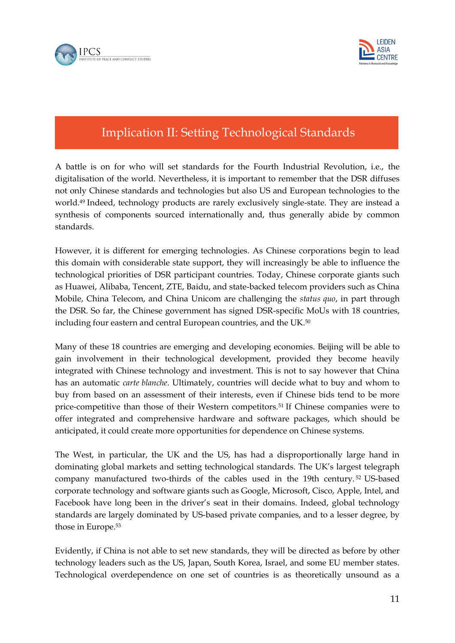



## Implication II: Setting Technological Standards

A battle is on for who will set standards for the Fourth Industrial Revolution, i.e., the digitalisation of the world. Nevertheless, it is important to remember that the DSR diffuses not only Chinese standards and technologies but also US and European technologies to the world.<sup>49</sup> Indeed, technology products are rarely exclusively single-state. They are instead a synthesis of components sourced internationally and, thus generally abide by common standards.

However, it is different for emerging technologies. As Chinese corporations begin to lead this domain with considerable state support, they will increasingly be able to influence the technological priorities of DSR participant countries. Today, Chinese corporate giants such as Huawei, Alibaba, Tencent, ZTE, Baidu, and state-backed telecom providers such as China Mobile, China Telecom, and China Unicom are challenging the *status quo*, in part through the DSR. So far, the Chinese government has signed DSR-specific MoUs with 18 countries, including four eastern and central European countries, and the UK.<sup>50</sup>

Many of these 18 countries are emerging and developing economies. Beijing will be able to gain involvement in their technological development, provided they become heavily integrated with Chinese technology and investment. This is not to say however that China has an automatic *carte blanche*. Ultimately, countries will decide what to buy and whom to buy from based on an assessment of their interests, even if Chinese bids tend to be more price-competitive than those of their Western competitors.<sup>51</sup> If Chinese companies were to offer integrated and comprehensive hardware and software packages, which should be anticipated, it could create more opportunities for dependence on Chinese systems.

The West, in particular, the UK and the US, has had a disproportionally large hand in dominating global markets and setting technological standards. The UK's largest telegraph company manufactured two-thirds of the cables used in the 19th century. <sup>52</sup> US-based corporate technology and software giants such as Google, Microsoft, Cisco, Apple, Intel, and Facebook have long been in the driver's seat in their domains. Indeed, global technology standards are largely dominated by US-based private companies, and to a lesser degree, by those in Europe.<sup>53</sup>

Evidently, if China is not able to set new standards, they will be directed as before by other technology leaders such as the US, Japan, South Korea, Israel, and some EU member states. Technological overdependence on one set of countries is as theoretically unsound as a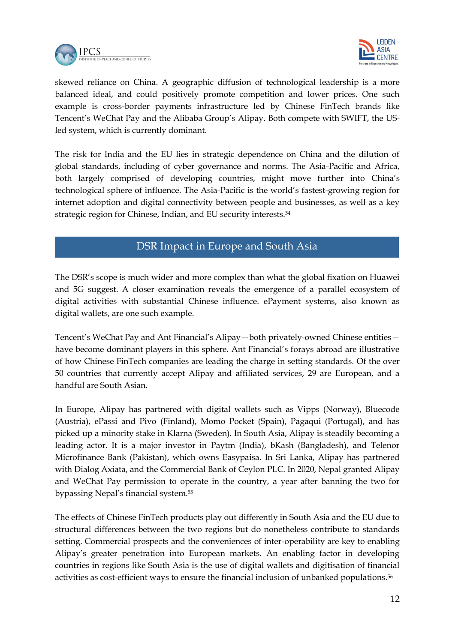



skewed reliance on China. A geographic diffusion of technological leadership is a more balanced ideal, and could positively promote competition and lower prices. One such example is cross-border payments infrastructure led by Chinese FinTech brands like Tencent's WeChat Pay and the Alibaba Group's Alipay. Both compete with SWIFT, the USled system, which is currently dominant.

The risk for India and the EU lies in strategic dependence on China and the dilution of global standards, including of cyber governance and norms. The Asia-Pacific and Africa, both largely comprised of developing countries, might move further into China's technological sphere of influence. The Asia-Pacific is the world's fastest-growing region for internet adoption and digital connectivity between people and businesses, as well as a key strategic region for Chinese, Indian, and EU security interests.<sup>54</sup>

#### DSR Impact in Europe and South Asia

The DSR's scope is much wider and more complex than what the global fixation on Huawei and 5G suggest. A closer examination reveals the emergence of a parallel ecosystem of digital activities with substantial Chinese influence. ePayment systems, also known as digital wallets, are one such example.

Tencent's WeChat Pay and Ant Financial's Alipay—both privately-owned Chinese entities have become dominant players in this sphere. Ant Financial's forays abroad are illustrative of how Chinese FinTech companies are leading the charge in setting standards. Of the over 50 countries that currently accept Alipay and affiliated services, 29 are European, and a handful are South Asian.

In Europe, Alipay has partnered with digital wallets such as Vipps (Norway), Bluecode (Austria), ePassi and Pivo (Finland), Momo Pocket (Spain), Pagaqui (Portugal), and has picked up a minority stake in Klarna (Sweden). In South Asia, Alipay is steadily becoming a leading actor. It is a major investor in Paytm (India), bKash (Bangladesh), and Telenor Microfinance Bank (Pakistan), which owns Easypaisa. In Sri Lanka, Alipay has partnered with Dialog Axiata, and the Commercial Bank of Ceylon PLC. In 2020, Nepal granted Alipay and WeChat Pay permission to operate in the country, a year after banning the two for bypassing Nepal's financial system.<sup>55</sup>

The effects of Chinese FinTech products play out differently in South Asia and the EU due to structural differences between the two regions but do nonetheless contribute to standards setting. Commercial prospects and the conveniences of inter-operability are key to enabling Alipay's greater penetration into European markets. An enabling factor in developing countries in regions like South Asia is the use of digital wallets and digitisation of financial activities as cost-efficient ways to ensure the financial inclusion of unbanked populations.<sup>56</sup>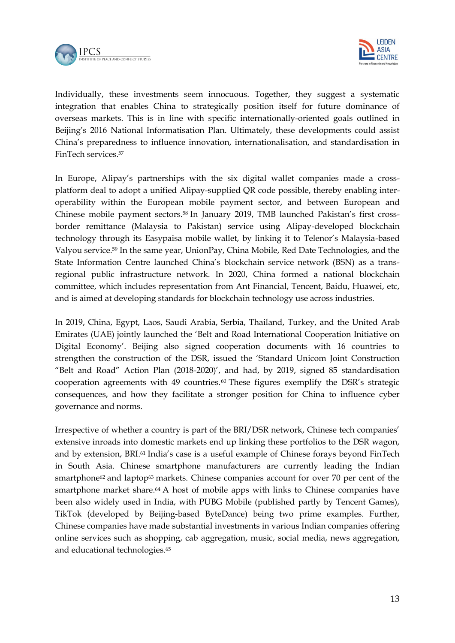



Individually, these investments seem innocuous. Together, they suggest a systematic integration that enables China to strategically position itself for future dominance of overseas markets. This is in line with specific internationally-oriented goals outlined in Beijing's 2016 National Informatisation Plan. Ultimately, these developments could assist China's preparedness to influence innovation, internationalisation, and standardisation in FinTech services.<sup>57</sup>

In Europe, Alipay's partnerships with the six digital wallet companies made a crossplatform deal to adopt a unified Alipay-supplied QR code possible, thereby enabling interoperability within the European mobile payment sector, and between European and Chinese mobile payment sectors.<sup>58</sup> In January 2019, TMB launched Pakistan's first crossborder remittance (Malaysia to Pakistan) service using Alipay-developed blockchain technology through its Easypaisa mobile wallet, by linking it to Telenor's Malaysia-based Valyou service.<sup>59</sup> In the same year, UnionPay, China Mobile, Red Date Technologies, and the State Information Centre launched China's blockchain service network (BSN) as a transregional public infrastructure network. In 2020, China formed a national blockchain committee, which includes representation from Ant Financial, Tencent, Baidu, Huawei, etc, and is aimed at developing standards for blockchain technology use across industries.

In 2019, China, Egypt, Laos, Saudi Arabia, Serbia, Thailand, Turkey, and the United Arab Emirates (UAE) jointly launched the 'Belt and Road International Cooperation Initiative on Digital Economy'. Beijing also signed cooperation documents with 16 countries to strengthen the construction of the DSR, issued the 'Standard Unicom Joint Construction "Belt and Road" Action Plan (2018-2020)', and had, by 2019, signed 85 standardisation cooperation agreements with 49 countries.<sup>60</sup> These figures exemplify the DSR's strategic consequences, and how they facilitate a stronger position for China to influence cyber governance and norms.

Irrespective of whether a country is part of the BRI/DSR network, Chinese tech companies' extensive inroads into domestic markets end up linking these portfolios to the DSR wagon, and by extension, BRI.<sup>61</sup> India's case is a useful example of Chinese forays beyond FinTech in South Asia. Chinese smartphone manufacturers are currently leading the Indian smartphone<sup>62</sup> and laptop<sup>63</sup> markets. Chinese companies account for over 70 per cent of the smartphone market share. <sup>64</sup> A host of mobile apps with links to Chinese companies have been also widely used in India, with PUBG Mobile (published partly by Tencent Games), TikTok (developed by Beijing-based ByteDance) being two prime examples. Further, Chinese companies have made substantial investments in various Indian companies offering online services such as shopping, cab aggregation, music, social media, news aggregation, and educational technologies.<sup>65</sup>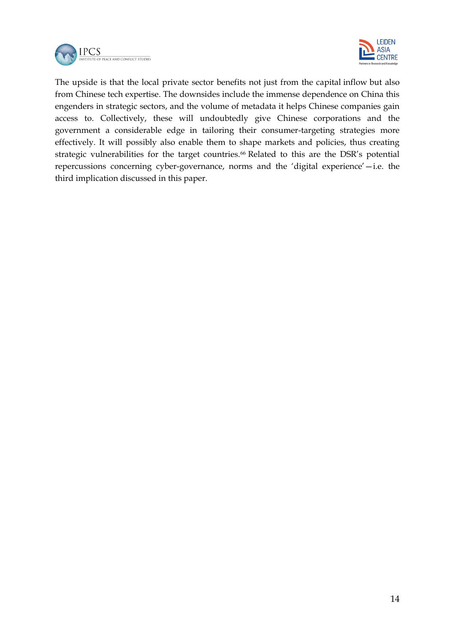



The upside is that the local private sector benefits not just from the capital inflow but also from Chinese tech expertise. The downsides include the immense dependence on China this engenders in strategic sectors, and the volume of metadata it helps Chinese companies gain access to. Collectively, these will undoubtedly give Chinese corporations and the government a considerable edge in tailoring their consumer-targeting strategies more effectively. It will possibly also enable them to shape markets and policies, thus creating strategic vulnerabilities for the target countries.<sup>66</sup> Related to this are the DSR's potential repercussions concerning cyber-governance, norms and the 'digital experience'—i.e. the third implication discussed in this paper.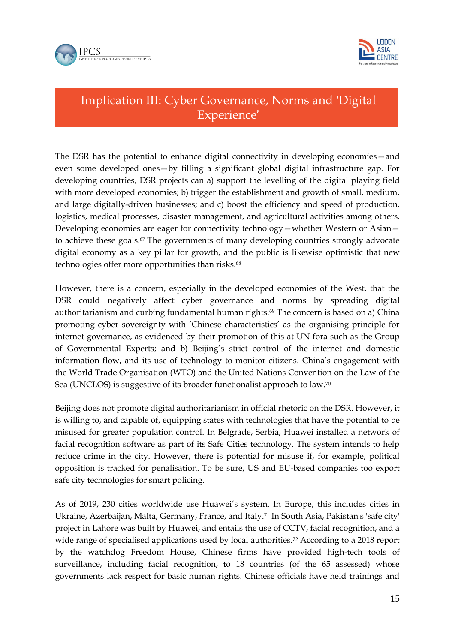



## Implication III: Cyber Governance, Norms and 'Digital Experience'

The DSR has the potential to enhance digital connectivity in developing economies—and even some developed ones—by filling a significant global digital infrastructure gap. For developing countries, DSR projects can a) support the levelling of the digital playing field with more developed economies; b) trigger the establishment and growth of small, medium, and large digitally-driven businesses; and c) boost the efficiency and speed of production, logistics, medical processes, disaster management, and agricultural activities among others. Developing economies are eager for connectivity technology—whether Western or Asian to achieve these goals.<sup>67</sup> The governments of many developing countries strongly advocate digital economy as a key pillar for growth, and the public is likewise optimistic that new technologies offer more opportunities than risks.<sup>68</sup>

However, there is a concern, especially in the developed economies of the West, that the DSR could negatively affect cyber governance and norms by spreading digital authoritarianism and curbing fundamental human rights.<sup>69</sup> The concern is based on a) China promoting cyber sovereignty with 'Chinese characteristics' as the organising principle for internet governance, as evidenced by their promotion of this at UN fora such as the Group of Governmental Experts; and b) Beijing's strict control of the internet and domestic information flow, and its use of technology to monitor citizens. China's engagement with the World Trade Organisation (WTO) and the United Nations Convention on the Law of the Sea (UNCLOS) is suggestive of its broader functionalist approach to law.<sup>70</sup>

Beijing does not promote digital authoritarianism in official rhetoric on the DSR. However, it is willing to, and capable of, equipping states with technologies that have the potential to be misused for greater population control. In Belgrade, Serbia, Huawei installed a network of facial recognition software as part of its Safe Cities technology. The system intends to help reduce crime in the city. However, there is potential for misuse if, for example, political opposition is tracked for penalisation. To be sure, US and EU-based companies too export safe city technologies for smart policing.

As of 2019, 230 cities worldwide use Huawei's system. In Europe, this includes cities in Ukraine, Azerbaijan, Malta, Germany, France, and Italy.<sup>71</sup> In South Asia, Pakistan's 'safe city' project in Lahore was built by Huawei, and entails the use of CCTV, facial recognition, and a wide range of specialised applications used by local authorities.<sup>72</sup> According to a 2018 report by the watchdog Freedom House, Chinese firms have provided high-tech tools of surveillance, including facial recognition, to 18 countries (of the 65 assessed) whose governments lack respect for basic human rights. Chinese officials have held trainings and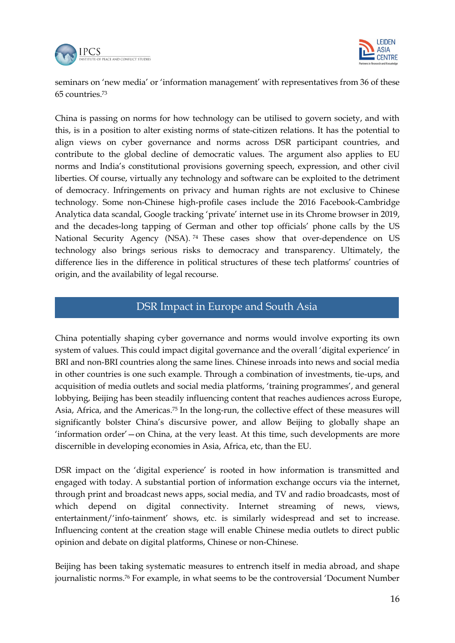



seminars on 'new media' or 'information management' with representatives from 36 of these 65 countries.<sup>73</sup>

China is passing on norms for how technology can be utilised to govern society, and with this, is in a position to alter existing norms of state-citizen relations. It has the potential to align views on cyber governance and norms across DSR participant countries, and contribute to the global decline of democratic values. The argument also applies to EU norms and India's constitutional provisions governing speech, expression, and other civil liberties. Of course, virtually any technology and software can be exploited to the detriment of democracy. Infringements on privacy and human rights are not exclusive to Chinese technology. Some non-Chinese high-profile cases include the 2016 Facebook-Cambridge Analytica data scandal, Google tracking 'private' internet use in its Chrome browser in 2019, and the decades-long tapping of German and other top officials' phone calls by the US National Security Agency (NSA). <sup>74</sup> These cases show that over-dependence on US technology also brings serious risks to democracy and transparency. Ultimately, the difference lies in the difference in political structures of these tech platforms' countries of origin, and the availability of legal recourse.

#### DSR Impact in Europe and South Asia

China potentially shaping cyber governance and norms would involve exporting its own system of values. This could impact digital governance and the overall 'digital experience' in BRI and non-BRI countries along the same lines. Chinese inroads into news and social media in other countries is one such example. Through a combination of investments, tie-ups, and acquisition of media outlets and social media platforms, 'training programmes', and general lobbying, Beijing has been steadily influencing content that reaches audiences across Europe, Asia, Africa, and the Americas.<sup>75</sup> In the long-run, the collective effect of these measures will significantly bolster China's discursive power, and allow Beijing to globally shape an 'information order'—on China, at the very least. At this time, such developments are more discernible in developing economies in Asia, Africa, etc, than the EU.

DSR impact on the 'digital experience' is rooted in how information is transmitted and engaged with today. A substantial portion of information exchange occurs via the internet, through print and broadcast news apps, social media, and TV and radio broadcasts, most of which depend on digital connectivity. Internet streaming of news, views, entertainment/'info-tainment' shows, etc. is similarly widespread and set to increase. Influencing content at the creation stage will enable Chinese media outlets to direct public opinion and debate on digital platforms, Chinese or non-Chinese.

Beijing has been taking systematic measures to entrench itself in media abroad, and shape journalistic norms.<sup>76</sup> For example, in what seems to be the controversial 'Document Number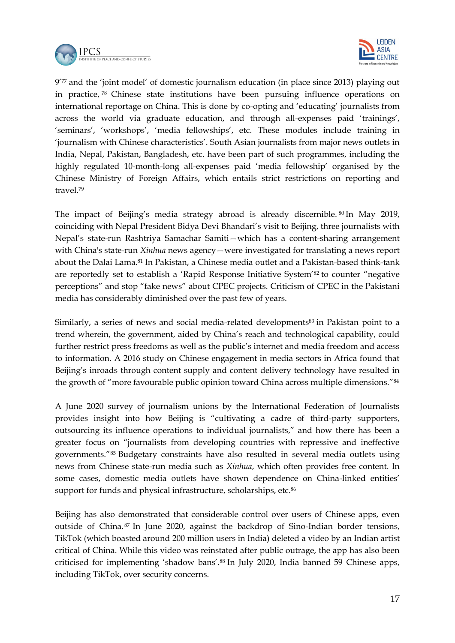



9'77 and the 'joint model' of domestic journalism education (in place since 2013) playing out in practice, <sup>78</sup> Chinese state institutions have been pursuing influence operations on international reportage on China. This is done by co-opting and 'educating' journalists from across the world via graduate education, and through all-expenses paid 'trainings', 'seminars', 'workshops', 'media fellowships', etc. These modules include training in 'journalism with Chinese characteristics'. South Asian journalists from major news outlets in India, Nepal, Pakistan, Bangladesh, etc. have been part of such programmes, including the highly regulated 10-month-long all-expenses paid 'media fellowship' organised by the Chinese Ministry of Foreign Affairs, which entails strict restrictions on reporting and travel.<sup>79</sup>

The impact of Beijing's media strategy abroad is already discernible. <sup>80</sup> In May 2019, coinciding with Nepal President Bidya Devi Bhandari's visit to Beijing, three journalists with Nepal's state-run Rashtriya Samachar Samiti—which has a content-sharing arrangement with China's state-run *Xinhua* news agency—were investigated for translating a news report about the Dalai Lama.<sup>81</sup> In Pakistan, a Chinese media outlet and a Pakistan-based think-tank are reportedly set to establish a 'Rapid Response Initiative System'<sup>82</sup> to counter "negative perceptions" and stop "fake news" about CPEC projects. Criticism of CPEC in the Pakistani media has considerably diminished over the past few of years.

Similarly, a series of news and social media-related developments<sup>83</sup> in Pakistan point to a trend wherein, the government, aided by China's reach and technological capability, could further restrict press freedoms as well as the public's internet and media freedom and access to information. A 2016 study on Chinese engagement in media sectors in Africa found that Beijing's inroads through content supply and content delivery technology have resulted in the growth of "more favourable public opinion toward China across multiple dimensions."<sup>84</sup>

A June 2020 survey of journalism unions by the International Federation of Journalists provides insight into how Beijing is "cultivating a cadre of third-party supporters, outsourcing its influence operations to individual journalists," and how there has been a greater focus on "journalists from developing countries with repressive and ineffective governments."<sup>85</sup> Budgetary constraints have also resulted in several media outlets using news from Chinese state-run media such as *Xinhua*, which often provides free content. In some cases, domestic media outlets have shown dependence on China-linked entities' support for funds and physical infrastructure, scholarships, etc.<sup>86</sup>

Beijing has also demonstrated that considerable control over users of Chinese apps, even outside of China. <sup>87</sup> In June 2020, against the backdrop of Sino-Indian border tensions, TikTok (which boasted around 200 million users in India) deleted a video by an Indian artist critical of China. While this video was reinstated after public outrage, the app has also been criticised for implementing 'shadow bans'.<sup>88</sup> In July 2020, India banned 59 Chinese apps, including TikTok, over security concerns.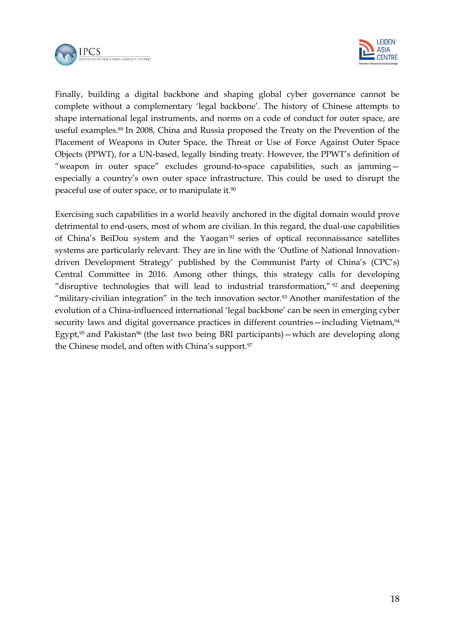



Finally, building a digital backbone and shaping global cyber governance cannot be complete without a complementary 'legal backbone'. The history of Chinese attempts to shape international legal instruments, and norms on a code of conduct for outer space, are useful examples.<sup>89</sup> In 2008, China and Russia proposed the Treaty on the Prevention of the Placement of Weapons in Outer Space, the Threat or Use of Force Against Outer Space Objects (PPWT), for a UN-based, legally binding treaty. However, the PPWT's definition of "weapon in outer space" excludes ground-to-space capabilities, such as jamming especially a country's own outer space infrastructure. This could be used to disrupt the peaceful use of outer space, or to manipulate it.<sup>90</sup>

Exercising such capabilities in a world heavily anchored in the digital domain would prove detrimental to end-users, most of whom are civilian. In this regard, the dual-use capabilities of China's BeiDou system and the Yaogan<sup>91</sup> series of optical reconnaissance satellites systems are particularly relevant. They are in line with the 'Outline of National Innovationdriven Development Strategy' published by the Communist Party of China's (CPC's) Central Committee in 2016. Among other things, this strategy calls for developing "disruptive technologies that will lead to industrial transformation," <sup>92</sup> and deepening "military-civilian integration" in the tech innovation sector.<sup>93</sup> Another manifestation of the evolution of a China-influenced international 'legal backbone' can be seen in emerging cyber security laws and digital governance practices in different countries - including Vietnam,<sup>94</sup> Egypt,<sup>95</sup> and Pakistan<sup>96</sup> (the last two being BRI participants)—which are developing along the Chinese model, and often with China's support.<sup>97</sup>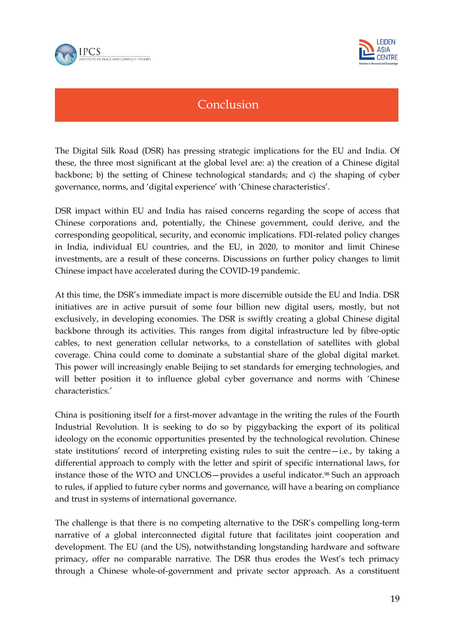



### Conclusion

The Digital Silk Road (DSR) has pressing strategic implications for the EU and India. Of these, the three most significant at the global level are: a) the creation of a Chinese digital backbone; b) the setting of Chinese technological standards; and c) the shaping of cyber governance, norms, and 'digital experience' with 'Chinese characteristics'.

DSR impact within EU and India has raised concerns regarding the scope of access that Chinese corporations and, potentially, the Chinese government, could derive, and the corresponding geopolitical, security, and economic implications. FDI-related policy changes in India, individual EU countries, and the EU, in 2020, to monitor and limit Chinese investments, are a result of these concerns. Discussions on further policy changes to limit Chinese impact have accelerated during the COVID-19 pandemic.

At this time, the DSR's immediate impact is more discernible outside the EU and India. DSR initiatives are in active pursuit of some four billion new digital users, mostly, but not exclusively, in developing economies. The DSR is swiftly creating a global Chinese digital backbone through its activities. This ranges from digital infrastructure led by fibre-optic cables, to next generation cellular networks, to a constellation of satellites with global coverage. China could come to dominate a substantial share of the global digital market. This power will increasingly enable Beijing to set standards for emerging technologies, and will better position it to influence global cyber governance and norms with 'Chinese characteristics.'

China is positioning itself for a first-mover advantage in the writing the rules of the Fourth Industrial Revolution. It is seeking to do so by piggybacking the export of its political ideology on the economic opportunities presented by the technological revolution. Chinese state institutions' record of interpreting existing rules to suit the centre—i.e., by taking a differential approach to comply with the letter and spirit of specific international laws, for instance those of the WTO and UNCLOS—provides a useful indicator.<sup>98</sup> Such an approach to rules, if applied to future cyber norms and governance, will have a bearing on compliance and trust in systems of international governance.

The challenge is that there is no competing alternative to the DSR's compelling long-term narrative of a global interconnected digital future that facilitates joint cooperation and development. The EU (and the US), notwithstanding longstanding hardware and software primacy, offer no comparable narrative. The DSR thus erodes the West's tech primacy through a Chinese whole-of-government and private sector approach. As a constituent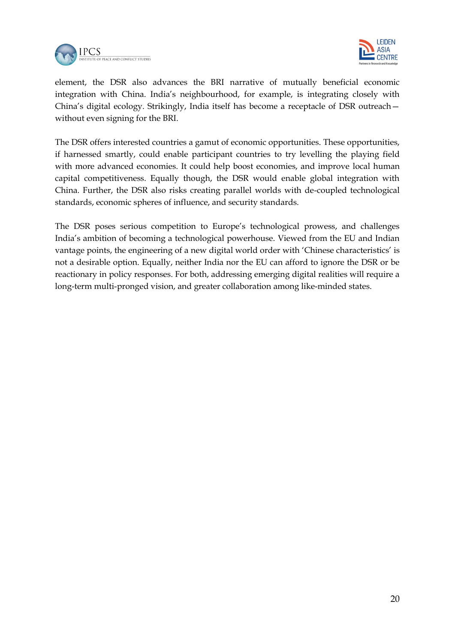



element, the DSR also advances the BRI narrative of mutually beneficial economic integration with China. India's neighbourhood, for example, is integrating closely with China's digital ecology. Strikingly, India itself has become a receptacle of DSR outreach without even signing for the BRI.

The DSR offers interested countries a gamut of economic opportunities. These opportunities, if harnessed smartly, could enable participant countries to try levelling the playing field with more advanced economies. It could help boost economies, and improve local human capital competitiveness. Equally though, the DSR would enable global integration with China. Further, the DSR also risks creating parallel worlds with de-coupled technological standards, economic spheres of influence, and security standards.

The DSR poses serious competition to Europe's technological prowess, and challenges India's ambition of becoming a technological powerhouse. Viewed from the EU and Indian vantage points, the engineering of a new digital world order with 'Chinese characteristics' is not a desirable option. Equally, neither India nor the EU can afford to ignore the DSR or be reactionary in policy responses. For both, addressing emerging digital realities will require a long-term multi-pronged vision, and greater collaboration among like-minded states.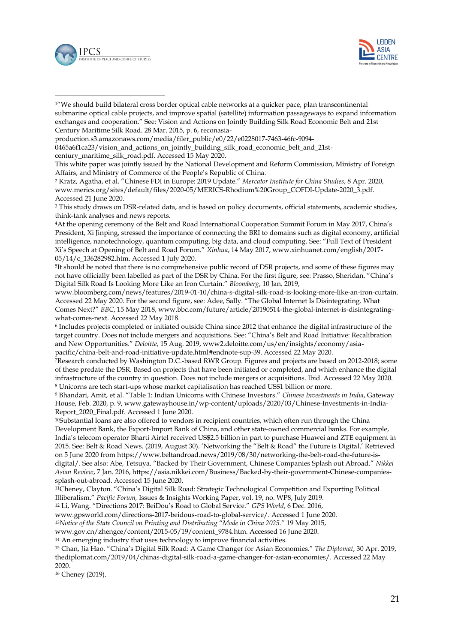

-



<sup>1</sup>'We should build bilateral cross border optical cable networks at a quicker pace, plan transcontinental submarine optical cable projects, and improve spatial (satellite) information passageways to expand information exchanges and cooperation." See: Vision and Actions on Jointly Building Silk Road Economic Belt and 21st Century Maritime Silk Road. 28 Mar. 2015, p. 6, reconasia-

0465a6f1ca23/vision\_and\_actions\_on\_jointly\_building\_silk\_road\_economic\_belt\_and\_21st-

century\_maritime\_silk\_road.pdf. Accessed 15 May 2020.

This white paper was jointly issued by the National Development and Reform Commission, Ministry of Foreign Affairs, and Ministry of Commerce of the People's Republic of China.

<sup>2</sup> Kratz, Agatha, et al. "Chinese FDI in Europe: 2019 Update." *Mercator Institute for China Studies*, 8 Apr. 2020, www.merics.org/sites/default/files/2020-05/MERICS-Rhodium%20Group\_COFDI-Update-2020\_3.pdf. Accessed 21 June 2020.

<sup>3</sup> This study draws on DSR-related data, and is based on policy documents, official statements, academic studies, think-tank analyses and news reports.

<sup>4</sup>At the opening ceremony of the Belt and Road International Cooperation Summit Forum in May 2017, China's President, Xi Jinping, stressed the importance of connecting the BRI to domains such as digital economy, artificial intelligence, nanotechnology, quantum computing, big data, and cloud computing. See: "Full Text of President Xi's Speech at Opening of Belt and Road Forum." *Xinhua*, 14 May 2017, www.xinhuanet.com/english/2017- 05/14/c\_136282982.htm. Accessed 1 July 2020.

<sup>5</sup>It should be noted that there is no comprehensive public record of DSR projects, and some of these figures may not have officially been labelled as part of the DSR by China. For the first figure, see: Prasso, Sheridan. "China's Digital Silk Road Is Looking More Like an Iron Curtain." *Bloomberg*, 10 Jan. 2019,

www.bloomberg.com/news/features/2019-01-10/china-s-digital-silk-road-is-looking-more-like-an-iron-curtain. Accessed 22 May 2020. For the second figure, see: Adee, Sally. "The Global Internet Is Disintegrating. What Comes Next?" *BBC*, 15 May 2018, www.bbc.com/future/article/20190514-the-global-internet-is-disintegratingwhat-comes-next. Accessed 22 May 2018.

<sup>6</sup> Includes projects completed or initiated outside China since 2012 that enhance the digital infrastructure of the target country. Does not include mergers and acquisitions. See: "China's Belt and Road Initiative: Recalibration and New Opportunities." *Deloitte*, 15 Aug. 2019, www2.deloitte.com/us/en/insights/economy/asiapacific/china-belt-and-road-initiative-update.html#endnote-sup-39. Accessed 22 May 2020.

<sup>7</sup>Research conducted by Washington D.C.-based RWR Group. Figures and projects are based on 2012-2018; some of these predate the DSR. Based on projects that have been initiated or completed, and which enhance the digital infrastructure of the country in question. Does not include mergers or acquisitions. Ibid. Accessed 22 May 2020. <sup>8</sup> Unicorns are tech start-ups whose market capitalisation has reached US\$1 billion or more.

<sup>9</sup> Bhandari, Amit, et al. "Table 1: Indian Unicorns with Chinese Investors." *Chinese Investments in India*, Gateway House, Feb. 2020, p. 9, www.gatewayhouse.in/wp-content/uploads/2020/03/Chinese-Investments-in-India-Report\_2020\_Final.pdf. Accessed 1 June 2020.

<sup>10</sup>Substantial loans are also offered to vendors in recipient countries, which often run through the China Development Bank, the Export-Import Bank of China, and other state-owned commercial banks. For example, India's telecom operator Bharti Airtel received US\$2.5 billion in part to purchase Huawei and ZTE equipment in 2015. See: Belt & Road News. (2019, August 30). 'Networking the "Belt & Road" the Future is Digital.' Retrieved on 5 June 2020 fro[m https://www.beltandroad.news/2019/08/30/networking-the-belt-road-the-future-is](https://www.beltandroad.news/2019/08/30/networking-the-belt-road-the-future-is-digital/)[digital/](https://www.beltandroad.news/2019/08/30/networking-the-belt-road-the-future-is-digital/). See also: Abe, Tetsuya. "Backed by Their Government, Chinese Companies Splash out Abroad." *Nikkei Asian Review*, 7 Jan. 2016[, https://asia.nikkei.com/Business/Backed-by-their-government-Chinese-companies](https://asia.nikkei.com/Business/Backed-by-their-government-Chinese-companies-splash-out-abroad)[splash-out-abroad.](https://asia.nikkei.com/Business/Backed-by-their-government-Chinese-companies-splash-out-abroad) Accessed 15 June 2020.

<sup>11</sup>Cheney, Clayton. "China's Digital Silk Road: Strategic Technological Competition and Exporting Political Illiberalism." *Pacific Forum,* Issues & Insights Working Paper, vol. 19, no. WP8, July 2019.

<sup>12</sup> Li, Wang. "Directions 2017: BeiDou's Road to Global Service." *GPS World*, 6 Dec. 2016,

www.gpsworld.com/directions-2017-beidous-road-to-global-service/. Accessed 1 June 2020.

<sup>13</sup>*Notice of the State Council on Printing and Distributing "Made in China 2025."* 19 May 2015,

www.gov.cn/zhengce/content/2015-05/19/content\_9784.htm. Accessed 16 June 2020.

<sup>14</sup> An emerging industry that uses technology to improve financial activities.

<sup>15</sup> Chan, Jia Hao. "China's Digital Silk Road: A Game Changer for Asian Economies." *The Diplomat*, 30 Apr. 2019, thediplomat.com/2019/04/chinas-digital-silk-road-a-game-changer-for-asian-economies/. Accessed 22 May 2020.

<sup>16</sup> Cheney (2019).

production.s3.amazonaws.com/media/filer\_public/e0/22/e0228017-7463-46fc-9094-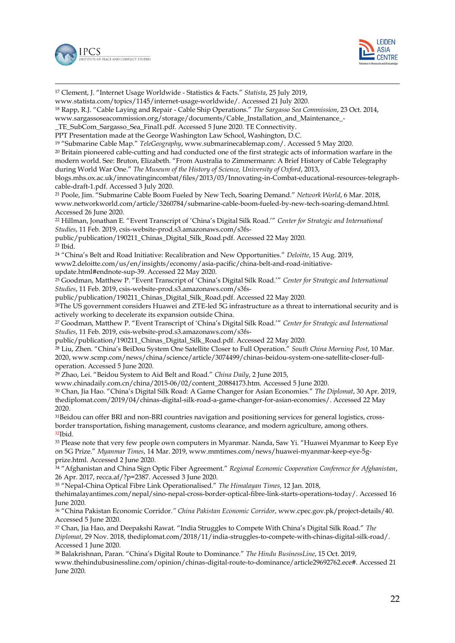



-<sup>17</sup> Clement, J. "Internet Usage Worldwide - Statistics & Facts." *Statista*, 25 July 2019, www.statista.com/topics/1145/internet-usage-worldwide/. Accessed 21 July 2020. <sup>18</sup> Rapp, R.J. "Cable Laying and Repair - Cable Ship Operations." *The Sargasso Sea Commission*, 23 Oct. 2014, www.sargassoseacommission.org/storage/documents/Cable\_Installation\_and\_Maintenance\_- \_TE\_SubCom\_Sargasso\_Sea\_Final1.pdf. Accessed 5 June 2020. TE Connectivity. PPT Presentation made at the George Washington Law School, Washington, D.C. <sup>19</sup> "Submarine Cable Map." *TeleGeography*, www.submarinecablemap.com/. Accessed 5 May 2020. <sup>20</sup> Britain pioneered cable-cutting and had conducted one of the first strategic acts of information warfare in the modern world. See: Bruton, Elizabeth. "From Australia to Zimmermann: A Brief History of Cable Telegraphy during World War One." *The Museum of the History of Science, University of Oxford*, 2013, blogs.mhs.ox.ac.uk/innovatingincombat/files/2013/03/Innovating-in-Combat-educational-resources-telegraphcable-draft-1.pdf. Accessed 3 July 2020. <sup>21</sup> Poole, Jim. "Submarine Cable Boom Fueled by New Tech, Soaring Demand." *Network World*, 6 Mar. 2018, www.networkworld.com/article/3260784/submarine-cable-boom-fueled-by-new-tech-soaring-demand.html. Accessed 26 June 2020. <sup>22</sup> Hillman, Jonathan E. "Event Transcript of 'China's Digital Silk Road.'" *Center for Strategic and International Studies*, 11 Feb. 2019, csis-website-prod.s3.amazonaws.com/s3fspublic/publication/190211\_Chinas\_Digital\_Silk\_Road.pdf. Accessed 22 May 2020. <sup>23</sup> Ibid. <sup>24</sup> "China's Belt and Road Initiative: Recalibration and New Opportunities." *Deloitte*, 15 Aug. 2019, www2.deloitte.com/us/en/insights/economy/asia-pacific/china-belt-and-road-initiativeupdate.html#endnote-sup-39. Accessed 22 May 2020. <sup>25</sup> Goodman, Matthew P. "Event Transcript of 'China's Digital Silk Road.'" *Center for Strategic and International Studies*, 11 Feb. 2019, csis-website-prod.s3.amazonaws.com/s3fspublic/publication/190211\_Chinas\_Digital\_Silk\_Road.pdf. Accessed 22 May 2020. <sup>26</sup>The US government considers Huawei and ZTE-led 5G infrastructure as a threat to international security and is actively working to decelerate its expansion outside China. <sup>27</sup> Goodman, Matthew P. "Event Transcript of 'China's Digital Silk Road.'" *Center for Strategic and International Studies*, 11 Feb. 2019, csis-website-prod.s3.amazonaws.com/s3fspublic/publication/190211\_Chinas\_Digital\_Silk\_Road.pdf. Accessed 22 May 2020. <sup>28</sup> Liu, Zhen. "China's BeiDou System One Satellite Closer to Full Operation." *South China Morning Post*, 10 Mar. 2020, www.scmp.com/news/china/science/article/3074499/chinas-beidou-system-one-satellite-closer-fulloperation. Accessed 5 June 2020. <sup>29</sup> Zhao, Lei. "Beidou System to Aid Belt and Road." *China Daily*, 2 June 2015, www.chinadaily.com.cn/china/2015-06/02/content\_20884173.htm. Accessed 5 June 2020. <sup>30</sup> Chan, Jia Hao. "China's Digital Silk Road: A Game Changer for Asian Economies." *The Diplomat*, 30 Apr. 2019, thediplomat.com/2019/04/chinas-digital-silk-road-a-game-changer-for-asian-economies/. Accessed 22 May 2020. 31Beidou can offer BRI and non-BRI countries navigation and positioning services for general logistics, crossborder transportation, fishing management, customs clearance, and modern agriculture, among others. <sup>32</sup>Ibid. <sup>33</sup> Please note that very few people own computers in Myanmar. Nanda, Saw Yi. "Huawei Myanmar to Keep Eye on 5G Prize." *Myanmar Times*, 14 Mar. 2019, www.mmtimes.com/news/huawei-myanmar-keep-eye-5gprize.html. Accessed 2 June 2020. <sup>34</sup> "Afghanistan and China Sign Optic Fiber Agreement." *Regional Economic Cooperation Conference for Afghanistan*, 26 Apr. 2017, recca.af/?p=2387. Accessed 3 June 2020.

<sup>35</sup> "Nepal-China Optical Fibre Link Operationalised." *The Himalayan Times*, 12 Jan. 2018,

thehimalayantimes.com/nepal/sino-nepal-cross-border-optical-fibre-link-starts-operations-today/. Accessed 16 June 2020.

<sup>36</sup> "China Pakistan Economic Corridor*." China Pakistan Economic Corridor*, www.cpec.gov.pk/project-details/40. Accessed 5 June 2020.

<sup>37</sup> Chan, Jia Hao, and Deepakshi Rawat. "India Struggles to Compete With China's Digital Silk Road." *The Diplomat*, 29 Nov. 2018, thediplomat.com/2018/11/india-struggles-to-compete-with-chinas-digital-silk-road/. Accessed 1 June 2020.

<sup>38</sup> Balakrishnan, Paran. "China's Digital Route to Dominance." *The Hindu BusinessLine*, 15 Oct. 2019, www.thehindubusinessline.com/opinion/chinas-digital-route-to-dominance/article29692762.ece#. Accessed 21 June 2020.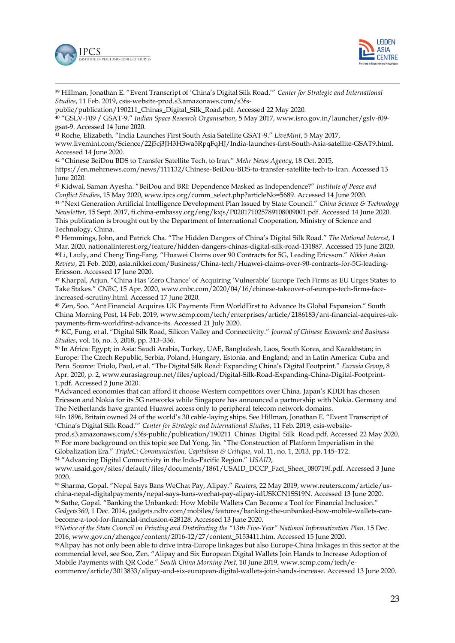



-<sup>39</sup> Hillman, Jonathan E. "Event Transcript of 'China's Digital Silk Road.'" *Center for Strategic and International Studies*, 11 Feb. 2019, csis-website-prod.s3.amazonaws.com/s3fs-

public/publication/190211\_Chinas\_Digital\_Silk\_Road.pdf. Accessed 22 May 2020.

<sup>40</sup> "GSLV-F09 / GSAT-9." *Indian Space Research Organisation*, 5 May 2017, www.isro.gov.in/launcher/gslv-f09 gsat-9. Accessed 14 June 2020.

<sup>41</sup> Roche, Elizabeth. "India Launches First South Asia Satellite GSAT-9." *LiveMint*, 5 May 2017,

www.livemint.com/Science/22j5cj3JH3H3wa5RpqFqHJ/India-launches-first-South-Asia-satellite-GSAT9.html. Accessed 14 June 2020.

<sup>42</sup> "Chinese BeiDou BDS to Transfer Satellite Tech. to Iran." *Mehr News Agency*, 18 Oct. 2015,

[https://en.mehrnews.com/news/111132/Chinese-BeiDou-BDS-to-transfer-satellite-tech-to-Iran.](https://en.mehrnews.com/news/111132/Chinese-BeiDou-BDS-to-transfer-satellite-tech-to-Iran) Accessed 13 June 2020.

<sup>43</sup> Kidwai, Saman Ayesha. "BeiDou and BRI: Dependence Masked as Independence?" *Institute of Peace and Conflict Studies*, 15 May 2020, www.ipcs.org/comm\_select.php?articleNo=5689. Accessed 14 June 2020. <sup>44</sup> "Next Generation Artificial Intelligence Development Plan Issued by State Council." *China Science & Technology Newsletter*, 15 Sept. 2017, fi.china-embassy.org/eng/kxjs/P020171025789108009001.pdf. Accessed 14 June 2020. This publication is brought out by the Department of International Cooperation, Ministry of Science and

Technology, China.

<sup>45</sup> Hemmings, John, and Patrick Cha. "The Hidden Dangers of China's Digital Silk Road." *The National Interest*, 1 Mar. 2020, nationalinterest.org/feature/hidden-dangers-chinas-digital-silk-road-131887. Accessed 15 June 2020. <sup>46</sup>Li, Lauly, and Cheng Ting-Fang. "Huawei Claims over 90 Contracts for 5G, Leading Ericsson." *Nikkei Asian Review*, 21 Feb. 2020, asia.nikkei.com/Business/China-tech/Huawei-claims-over-90-contracts-for-5G-leading-Ericsson. Accessed 17 June 2020.

<sup>47</sup> Kharpal, Arjun. "China Has 'Zero Chance' of Acquiring 'Vulnerable' Europe Tech Firms as EU Urges States to Take Stakes." *CNBC*, 15 Apr. 2020, www.cnbc.com/2020/04/16/chinese-takeover-of-europe-tech-firms-faceincreased-scrutiny.html. Accessed 17 June 2020.

<sup>48</sup> Zen, Soo. "Ant Financial Acquires UK Payments Firm WorldFirst to Advance Its Global Expansion." South China Morning Post, 14 Feb. 2019, www.scmp.com/tech/enterprises/article/2186183/ant-financial-acquires-ukpayments-firm-worldfirst-advance-its. Accessed 21 July 2020.

<sup>49</sup> KC, Fung, et al. "Digital Silk Road, Silicon Valley and Connectivity." *Journal of Chinese Economic and Business Studies*, vol. 16, no. 3, 2018, pp. 313–336.

<sup>50</sup> In Africa: Egypt; in Asia: Saudi Arabia, Turkey, UAE, Bangladesh, Laos, South Korea, and Kazakhstan; in Europe: The Czech Republic, Serbia, Poland, Hungary, Estonia, and England; and in Latin America: Cuba and Peru. Source: Triolo, Paul, et al. "The Digital Silk Road: Expanding China's Digital Footprint." *Eurasia Group*, 8 Apr. 2020, p. 2, www.eurasiagroup.net/files/upload/Digital-Silk-Road-Expanding-China-Digital-Footprint-1.pdf. Accessed 2 June 2020.

<sup>51</sup>Advanced economies that can afford it choose Western competitors over China. Japan's KDDI has chosen Ericsson and Nokia for its 5G networks while Singapore has announced a partnership with Nokia. Germany and The Netherlands have granted Huawei access only to peripheral telecom network domains.

<sup>52</sup>In 1896, Britain owned 24 of the world's 30 cable-laying ships. See Hillman, Jonathan E. "Event Transcript of 'China's Digital Silk Road.'" *Center for Strategic and International Studies*, 11 Feb. 2019, csis-website-

prod.s3.amazonaws.com/s3fs-public/publication/190211\_Chinas\_Digital\_Silk\_Road.pdf. Accessed 22 May 2020. <sup>53</sup> For more background on this topic see Dal Yong, Jin. "The Construction of Platform Imperialism in the Globalization Era." *TripleC: Communication, Capitalism & Critique*, vol. 11, no. 1, 2013, pp. 145–172. <sup>54</sup> "Advancing Digital Connectivity in the Indo-Pacific Region." *USAID*,

www.usaid.gov/sites/default/files/documents/1861/USAID\_DCCP\_Fact\_Sheet\_080719f.pdf. Accessed 3 June 2020.

<sup>55</sup> Sharma, Gopal. "Nepal Says Bans WeChat Pay, Alipay." *Reuters*, 22 May 2019, www.reuters.com/article/uschina-nepal-digitalpayments/nepal-says-bans-wechat-pay-alipay-idUSKCN1SS19N. Accessed 13 June 2020. <sup>56</sup> Sathe, Gopal. "Banking the Unbanked: How Mobile Wallets Can Become a Tool for Financial Inclusion." *Gadgets360*, 1 Dec. 2014, gadgets.ndtv.com/mobiles/features/banking-the-unbanked-how-mobile-wallets-canbecome-a-tool-for-financial-inclusion-628128. Accessed 13 June 2020.

<sup>57</sup>*Notice of the State Council on Printing and Distributing the "13th Five-Year" National Informatization Plan*. 15 Dec. 2016, www.gov.cn/zhengce/content/2016-12/27/content\_5153411.htm. Accessed 15 June 2020.

<sup>58</sup>Alipay has not only been able to drive intra-Europe linkages but also Europe-China linkages in this sector at the commercial level, see Soo, Zen. "Alipay and Six European Digital Wallets Join Hands to Increase Adoption of Mobile Payments with QR Code." *South China Morning Post*, 10 June 2019, www.scmp.com/tech/ecommerce/article/3013833/alipay-and-six-european-digital-wallets-join-hands-increase. Accessed 13 June 2020.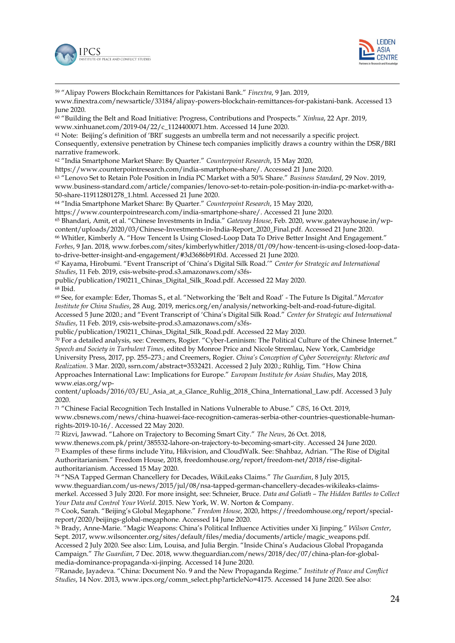

-



<sup>59</sup> "Alipay Powers Blockchain Remittances for Pakistani Bank." *Finextra*, 9 Jan. 2019, [www.finextra.com/newsarticle/33184/alipay-powers-blockchain-remittances-for-pakistani-bank.](http://www.finextra.com/newsarticle/33184/alipay-powers-blockchain-remittances-for-pakistani-bank) Accessed 13 June 2020. <sup>60</sup> "Building the Belt and Road Initiative: Progress, Contributions and Prospects." *Xinhua*, 22 Apr. 2019, [www.xinhuanet.com/2019-04/22/c\\_1124400071.htm.](http://www.xinhuanet.com/2019-04/22/c_1124400071.htm) Accessed 14 June 2020. <sup>61</sup> Note: Beijing's definition of 'BRI' suggests an umbrella term and not necessarily a specific project. Consequently, extensive penetration by Chinese tech companies implicitly draws a country within the DSR/BRI narrative framework. <sup>62</sup> "India Smartphone Market Share: By Quarter." *Counterpoint Research*, 15 May 2020, [https://www.counterpointresearch.com/india-smartphone-share/.](https://www.counterpointresearch.com/india-smartphone-share/) Accessed 21 June 2020. <sup>63</sup> "Lenovo Set to Retain Pole Position in India PC Market with a 50% Share." *Business Standard*, 29 Nov. 2019, www.business-standard.com/article/companies/lenovo-set-to-retain-pole-position-in-india-pc-market-with-a-50-share-119112801278\_1.html. Accessed 21 June 2020. <sup>64</sup> "India Smartphone Market Share: By Quarter." *Counterpoint Research*, 15 May 2020, [https://www.counterpointresearch.com/india-smartphone-share/.](https://www.counterpointresearch.com/india-smartphone-share/) Accessed 21 June 2020. <sup>65</sup> Bhandari, Amit, et al. "Chinese Investments in India." *Gateway House*, Feb. 2020[, www.gatewayhouse.in/wp](http://www.gatewayhouse.in/wp-content/uploads/2020/03/Chinese-Investments-in-India-Report_2020_Final.pdf)[content/uploads/2020/03/Chinese-Investments-in-India-Report\\_2020\\_Final.pdf.](http://www.gatewayhouse.in/wp-content/uploads/2020/03/Chinese-Investments-in-India-Report_2020_Final.pdf) Accessed 21 June 2020. <sup>66</sup> Whitler, Kimberly A. "How Tencent Is Using Closed-Loop Data To Drive Better Insight And Engagement." *Forbes*, 9 Jan. 2018, www.forbes.com/sites/kimberlywhitler/2018/01/09/how-tencent-is-using-closed-loop-datato-drive-better-insight-and-engagement/#3d3686b91f0d. Accessed 21 June 2020. <sup>67</sup> Kayama, Hirobumi. "Event Transcript of 'China's Digital Silk Road.'" *Center for Strategic and International Studies*, 11 Feb. 2019, csis-website-prod.s3.amazonaws.com/s3fspublic/publication/190211\_Chinas\_Digital\_Silk\_Road.pdf. Accessed 22 May 2020. <sup>68</sup> Ibid. <sup>69</sup> See, for example: Eder, Thomas S., et al. "Networking the 'Belt and Road' - The Future Is Digital."*Mercator Institute for China Studies*, 28 Aug. 2019, merics.org/en/analysis/networking-belt-and-road-future-digital. Accessed 5 June 2020.; and "Event Transcript of 'China's Digital Silk Road." *Center for Strategic and International Studies*, 11 Feb. 2019, csis-website-prod.s3.amazonaws.com/s3fspublic/publication/190211\_Chinas\_Digital\_Silk\_Road.pdf. Accessed 22 May 2020. <sup>70</sup> For a detailed analysis, see: Creemers, Rogier. "Cyber-Leninism: The Political Culture of the Chinese Internet." *Speech and Society in Turbulent Times*, edited by Monroe Price and Nicole Stremlau, New York, Cambridge University Press, 2017, pp. 255–273.; and Creemers, Rogier. *China's Conception of Cyber Sovereignty: Rhetoric and* 

*Realization*. 3 Mar. 2020, ssrn.com/abstract=3532421. Accessed 2 July 2020.; Rühlig, Tim. "How China Approaches International Law: Implications for Europe." *European Institute for Asian Studies*, May 2018, www.eias.org/wp-

content/uploads/2016/03/EU\_Asia\_at\_a\_Glance\_Ruhlig\_2018\_China\_International\_Law.pdf. Accessed 3 July 2020.

<sup>71</sup> "Chinese Facial Recognition Tech Installed in Nations Vulnerable to Abuse." *CBS*, 16 Oct. 2019, www.cbsnews.com/news/china-huawei-face-recognition-cameras-serbia-other-countries-questionable-humanrights-2019-10-16/. Accessed 22 May 2020.

<sup>72</sup> Rizvi, Jawwad. "Lahore on Trajectory to Becoming Smart City." *The News*, 26 Oct. 2018,

www.thenews.com.pk/print/385532-lahore-on-trajectory-to-becoming-smart-city. Accessed 24 June 2020. <sup>73</sup> Examples of these firms include Yitu, Hikvision, and CloudWalk. See: Shahbaz, Adrian. "The Rise of Digital Authoritarianism." Freedom House, 2018, freedomhouse.org/report/freedom-net/2018/rise-digitalauthoritarianism. Accessed 15 May 2020.

<sup>74</sup> "NSA Tapped German Chancellery for Decades, WikiLeaks Claims." *The Guardian*, 8 July 2015, www.theguardian.com/us-news/2015/jul/08/nsa-tapped-german-chancellery-decades-wikileaks-claimsmerkel. Accessed 3 July 2020. For more insight, see: Schneier, Bruce. *Data and Goliath – The Hidden Battles to Collect Your Data and Control Your World*. 2015. New York, W. W. Norton & Company.

<sup>75</sup> Cook, Sarah. "Beijing's Global Megaphone." *Freedom House*, 2020, https://freedomhouse.org/report/specialreport/2020/beijings-global-megaphone. Accessed 14 June 2020.

<sup>76</sup> Brady, Anne-Marie. "Magic Weapons: China's Political Influence Activities under Xi Jinping." *Wilson Center*, Sept. 2017, www.wilsoncenter.org/sites/default/files/media/documents/article/magic\_weapons.pdf. Accessed 2 July 2020. See also: Lim, Louisa, and Julia Bergin. "Inside China's Audacious Global Propaganda Campaign." *The Guardian*, 7 Dec. 2018, www.theguardian.com/news/2018/dec/07/china-plan-for-globalmedia-dominance-propaganda-xi-jinping. Accessed 14 June 2020.

<sup>77</sup>Ranade, Jayadeva. "China: Document No. 9 and the New Propaganda Regime." *Institute of Peace and Conflict Studies*, 14 Nov. 2013, www.ipcs.org/comm\_select.php?articleNo=4175. Accessed 14 June 2020. See also: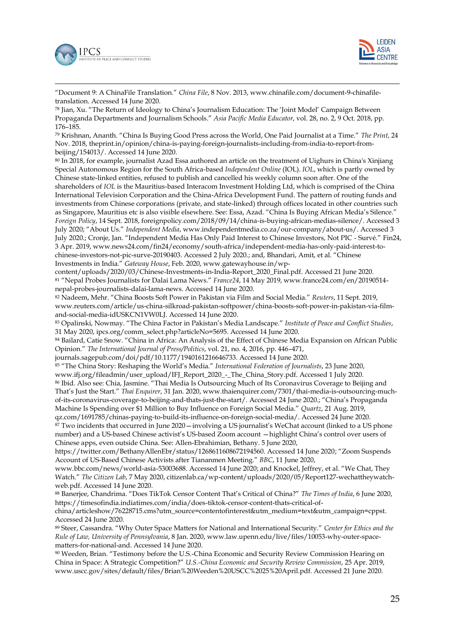



-"Document 9: A ChinaFile Translation." *China File*, 8 Nov. 2013, www.chinafile.com/document-9-chinafiletranslation. Accessed 14 June 2020.

<sup>78</sup> Jian, Xu. "The Return of Ideology to China's Journalism Education: The 'Joint Model' Campaign Between Propaganda Departments and Journalism Schools." *Asia Pacific Media Educator*, vol. 28, no. 2, 9 Oct. 2018, pp. 176–185.

<sup>79</sup> Krishnan, Ananth. "China Is Buying Good Press across the World, One Paid Journalist at a Time." *The Print*, 24 Nov. 2018, theprint.in/opinion/china-is-paying-foreign-journalists-including-from-india-to-report-frombeijing/154013/. Accessed 14 June 2020.

<sup>80</sup> In 2018, for example, journalist Azad Essa authored an article on the treatment of Uighurs in China's Xinjiang Special Autonomous Region for the South Africa-based *Independent Online* (IOL). *IOL*, which is partly owned by Chinese state-linked entities, refused to publish and cancelled his weekly column soon after. One of the shareholders of *IOL* is the Mauritius-based Interacom Investment Holding Ltd, which is comprised of the China International Television Corporation and the China-Africa Development Fund. The pattern of routing funds and investments from Chinese corporations (private, and state-linked) through offices located in other countries such as Singapore, Mauritius etc is also visible elsewhere. See: Essa, Azad. "China Is Buying African Media's Silence." *Foreign Policy*, 14 Sept. 2018, foreignpolicy.com/2018/09/14/china-is-buying-african-medias-silence/. Accessed 3 July 2020; "About Us." *Independent Media*, www.independentmedia.co.za/our-company/about-us/. Accessed 3 July 2020.; Cronje, Jan. "Independent Media Has Only Paid Interest to Chinese Investors, Not PIC - Survé." Fin24, 3 Apr. 2019, www.news24.com/fin24/economy/south-africa/independent-media-has-only-paid-interest-tochinese-investors-not-pic-surve-20190403. Accessed 2 July 2020.; and, Bhandari, Amit, et al. "Chinese Investments in India." *Gateway House*, Feb. 2020, www.gatewayhouse.in/wp-

content/uploads/2020/03/Chinese-Investments-in-India-Report\_2020\_Final.pdf. Accessed 21 June 2020. <sup>81</sup> "Nepal Probes Journalists for Dalai Lama News." *France24*, 14 May 2019, www.france24.com/en/20190514 nepal-probes-journalists-dalai-lama-news. Accessed 14 June 2020.

<sup>82</sup> Nadeem, Mehr. "China Boosts Soft Power in Pakistan via Film and Social Media." *Reuters*, 11 Sept. 2019, www.reuters.com/article/us-china-silkroad-pakistan-softpower/china-boosts-soft-power-in-pakistan-via-filmand-social-media-idUSKCN1VW0LJ. Accessed 14 June 2020.

<sup>83</sup> Opalinski, Nowmay. "The China Factor in Pakistan's Media Landscape." *Institute of Peace and Conflict Studies*, 31 May 2020, ipcs.org/comm\_select.php?articleNo=5695. Accessed 14 June 2020.

84 Bailard, Catie Snow. "China in Africa: An Analysis of the Effect of Chinese Media Expansion on African Public Opinion." *The International Journal of Press/Politics*, vol. 21, no. 4, 2016, pp. 446–471,

journals.sagepub.com/doi/pdf/10.1177/1940161216646733. Accessed 14 June 2020.

<sup>85</sup> "The China Story: Reshaping the World's Media." *International Federation of Journalists*, 23 June 2020,

www.ifj.org/fileadmin/user\_upload/IFJ\_Report\_2020\_-\_The\_China\_Story.pdf. Accessed 1 July 2020.

<sup>86</sup> Ibid. Also see: Chia, Jasmine. "Thai Media Is Outsourcing Much of Its Coronavirus Coverage to Beijing and That's Just the Start." *Thai Enquirer*, 31 Jan. 2020, www.thaienquirer.com/7301/thai-media-is-outsourcing-muchof-its-coronavirus-coverage-to-beijing-and-thats-just-the-start/. Accessed 24 June 2020.; "China's Propaganda Machine Is Spending over \$1 Million to Buy Influence on Foreign Social Media." *Quartz*, 21 Aug. 2019,

qz.com/1691785/chinas-paying-to-build-its-influence-on-foreign-social-media/. Accessed 24 June 2020. <sup>87</sup> Two incidents that occurred in June 2020—involving a US journalist's WeChat account (linked to a US phone number) and a US-based Chinese activist's US-based Zoom account —highlight China's control over users of Chinese apps, even outside China. See: Allen-Ebrahimian, Bethany. 5 June 2020,

[https://twitter.com/BethanyAllenEbr/status/1268611608672194560. Accessed 14 June 2020](https://twitter.com/BethanyAllenEbr/status/1268611608672194560.%20Accessed%2014%20June%202020); "Zoom Suspends Account of US-Based Chinese Activists after Tiananmen Meeting." *BBC*, 11 June 2020,

www.bbc.com/news/world-asia-53003688. Accessed 14 June 2020; and Knockel, Jeffrey, et al. "We Chat, They Watch." *The Citizen Lab*, 7 May 2020, citizenlab.ca/wp-content/uploads/2020/05/Report127-wechattheywatchweb.pdf. Accessed 14 June 2020.

<sup>88</sup> Banerjee, Chandrima. "Does TikTok Censor Content That's Critical of China?" *The Times of India*, 6 June 2020, [https://timesofindia.indiatimes.com/india/does-tiktok-censor-content-thats-critical-of-](https://timesofindia.indiatimes.com/india/does-tiktok-censor-content-thats-critical-of-china/articleshow/76228715.cms?utm_source=contentofinterest&utm_medium=text&utm_campaign=cppst)

[china/articleshow/76228715.cms?utm\\_source=contentofinterest&utm\\_medium=text&utm\\_campaign=cppst.](https://timesofindia.indiatimes.com/india/does-tiktok-censor-content-thats-critical-of-china/articleshow/76228715.cms?utm_source=contentofinterest&utm_medium=text&utm_campaign=cppst) Accessed 24 June 2020.

<sup>89</sup> Steer, Cassandra. "Why Outer Space Matters for National and International Security." *Center for Ethics and the Rule of Law, University of Pennsylvania*, 8 Jan. 2020, www.law.upenn.edu/live/files/10053-why-outer-spacematters-for-national-and. Accessed 14 June 2020.

<sup>90</sup> Weeden, Brian. "Testimony before the U.S.-China Economic and Security Review Commission Hearing on China in Space: A Strategic Competition?" *U.S.-China Economic and Security Review Commission*, 25 Apr. 2019, www.uscc.gov/sites/default/files/Brian%20Weeden%20USCC%2025%20April.pdf. Accessed 21 June 2020.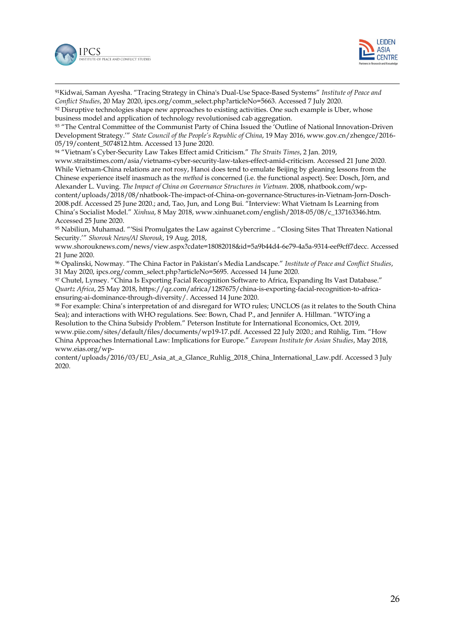



-<sup>91</sup>Kidwai, Saman Ayesha. "Tracing Strategy in China's Dual-Use Space-Based Systems" *Institute of Peace and Conflict Studies*, 20 May 2020, ipcs.org/comm\_select.php?articleNo=5663. Accessed 7 July 2020. 92 Disruptive technologies shape new approaches to existing activities. One such example is Uber, whose

business model and application of technology revolutionised cab aggregation.

<sup>93</sup> "The Central Committee of the Communist Party of China Issued the 'Outline of National Innovation-Driven Development Strategy.'" *State Council of the People's Republic of China*, 19 May 2016, www.gov.cn/zhengce/2016- 05/19/content\_5074812.htm. Accessed 13 June 2020.

<sup>94</sup> "Vietnam's Cyber-Security Law Takes Effect amid Criticism." *The Straits Times*, 2 Jan. 2019,

www.straitstimes.com/asia/vietnams-cyber-security-law-takes-effect-amid-criticism. Accessed 21 June 2020. While Vietnam-China relations are not rosy, Hanoi does tend to emulate Beijing by gleaning lessons from the Chinese experience itself inasmuch as the *method* is concerned (i.e. the functional aspect). See: Dosch, Jörn, and Alexander L. Vuving. *The Impact of China on Governance Structures in Vietnam*. 2008, nhatbook.com/wpcontent/uploads/2018/08/nhatbook-The-impact-of-China-on-governance-Structures-in-Vietnam-Jorn-Dosch-

2008.pdf. Accessed 25 June 2020.; and, Tao, Jun, and Long Bui. "Interview: What Vietnam Is Learning from China's Socialist Model." *Xinhua*, 8 May 2018, www.xinhuanet.com/english/2018-05/08/c\_137163346.htm. Accessed 25 June 2020.

<sup>95</sup> Nabiliun, Muhamad. "'Sisi Promulgates the Law against Cybercrime .. "Closing Sites That Threaten National Security.'" *Shorouk News/Al Shorouk*, 19 Aug. 2018,

www.shorouknews.com/news/view.aspx?cdate=18082018&id=5a9b44d4-6e79-4a5a-9314-eef9cff7decc. Accessed 21 June 2020.

<sup>96</sup> Opalinski, Nowmay. "The China Factor in Pakistan's Media Landscape." *Institute of Peace and Conflict Studies*, 31 May 2020, ipcs.org/comm\_select.php?articleNo=5695. Accessed 14 June 2020.

<sup>97</sup> Chutel, Lynsey. "China Is Exporting Facial Recognition Software to Africa, Expanding Its Vast Database." *Quartz Africa*, 25 May 2018, [https://qz.com/africa/1287675/china-is-exporting-facial-recognition-to-africa](https://qz.com/africa/1287675/china-is-exporting-facial-recognition-to-africa-ensuring-ai-dominance-through-diversity/)[ensuring-ai-dominance-through-diversity/.](https://qz.com/africa/1287675/china-is-exporting-facial-recognition-to-africa-ensuring-ai-dominance-through-diversity/) Accessed 14 June 2020.

<sup>98</sup> For example: China's interpretation of and disregard for WTO rules; UNCLOS (as it relates to the South China Sea); and interactions with WHO regulations. See: Bown, Chad P., and Jennifer A. Hillman. "WTO'ing a Resolution to the China Subsidy Problem." Peterson Institute for International Economics, Oct. 2019,

www.piie.com/sites/default/files/documents/wp19-17.pdf. Accessed 22 July 2020.; and Rühlig, Tim. "How China Approaches International Law: Implications for Europe." *European Institute for Asian Studies*, May 2018, www.eias.org/wp-

content/uploads/2016/03/EU\_Asia\_at\_a\_Glance\_Ruhlig\_2018\_China\_International\_Law.pdf. Accessed 3 July 2020.